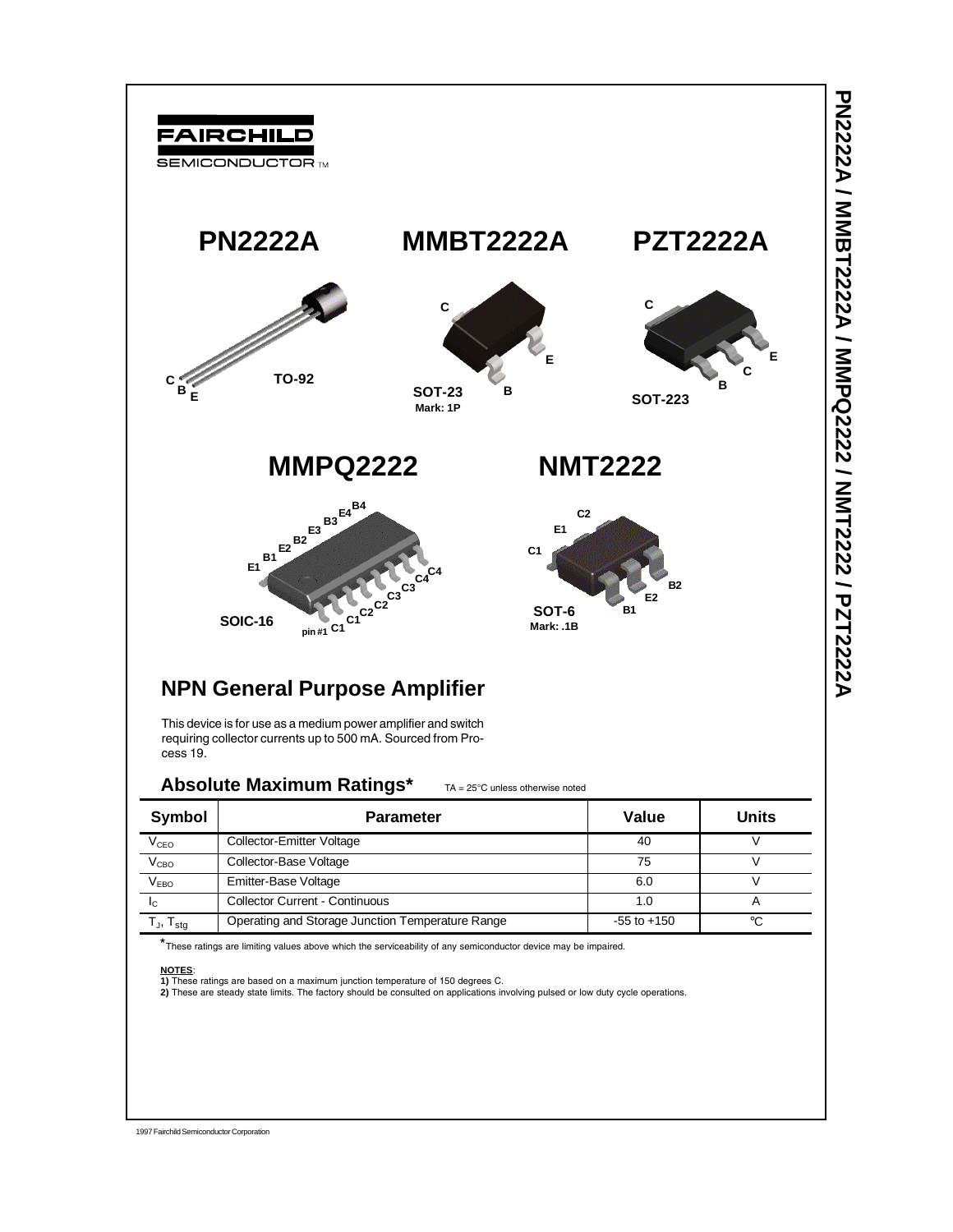

This device is for use as a medium power amplifier and switch requiring collector currents up to 500 mA. Sourced from Process 19.

### Absolute Maximum Ratings\* TA = 25°C unless otherwise noted

| Symbol              | <b>Parameter</b>                                 | Value           | Units |
|---------------------|--------------------------------------------------|-----------------|-------|
| $V_{\texttt{CEO}}$  | Collector-Emitter Voltage                        | 40              |       |
| V <sub>CBO</sub>    | Collector-Base Voltage                           | 75              |       |
| V <sub>EBO</sub>    | Emitter-Base Voltage                             | 6.0             |       |
| <sup>I</sup> C      | <b>Collector Current - Continuous</b>            | 1.0             |       |
| $T_{J}$ , $T_{sta}$ | Operating and Storage Junction Temperature Range | $-55$ to $+150$ | ∘C    |

\*These ratings are limiting values above which the serviceability of any semiconductor device may be impaired.

#### **NOTES**:

**1)** These ratings are based on a maximum junction temperature of 150 degrees C.

**2)** These are steady state limits. The factory should be consulted on applications involving pulsed or low duty cycle operations.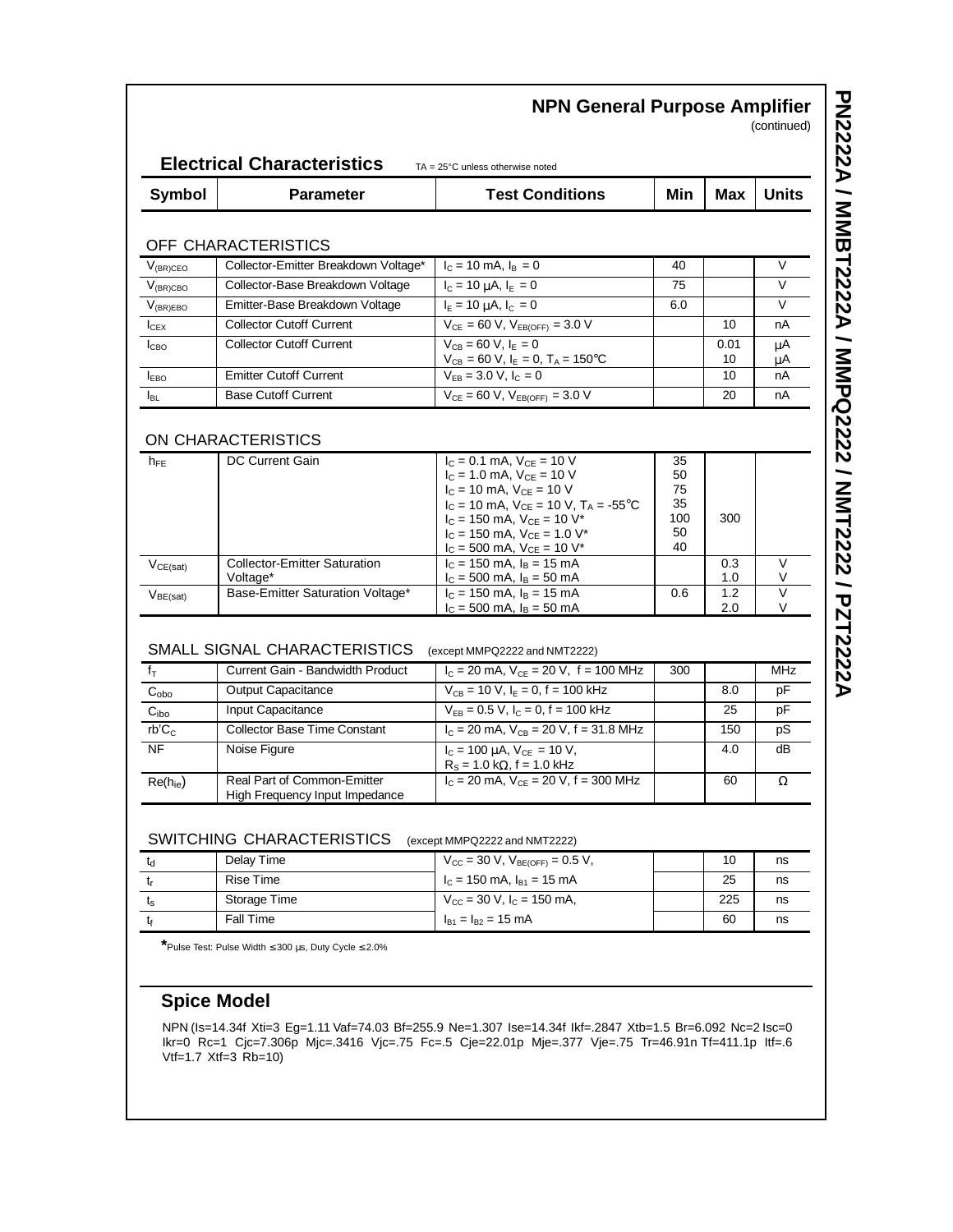| $V_{(BR)CEO}$                                                                                              | OFF CHARACTERISTICS<br>Collector-Emitter Breakdown Voltage*<br>Collector-Base Breakdown Voltage<br>Emitter-Base Breakdown Voltage |                                                                               |          |            |          |
|------------------------------------------------------------------------------------------------------------|-----------------------------------------------------------------------------------------------------------------------------------|-------------------------------------------------------------------------------|----------|------------|----------|
|                                                                                                            |                                                                                                                                   |                                                                               |          |            |          |
| $\overline{V}_{\text{(BR)CBO}}$<br>$V_{\rm (BR) EBO}$<br>$I_{CEX}$<br>$I_{CBO}$<br><b>I</b> <sub>EBO</sub> |                                                                                                                                   |                                                                               |          |            |          |
|                                                                                                            |                                                                                                                                   | $I_c = 10$ mA, $I_B = 0$                                                      | 40       |            | V        |
|                                                                                                            |                                                                                                                                   | $I_c = 10 \mu A, I_E = 0$                                                     | 75       |            | $\vee$   |
|                                                                                                            |                                                                                                                                   | $I_E = 10 \mu A, I_C = 0$                                                     | 6.0      |            | V        |
|                                                                                                            | <b>Collector Cutoff Current</b>                                                                                                   | $V_{CE} = 60 V, V_{EB(OFF)} = 3.0 V$                                          |          | 10         | nА       |
|                                                                                                            | <b>Collector Cutoff Current</b>                                                                                                   | $V_{CB} = 60 V, IE = 0$<br>$V_{CB} = 60 V, I_E = 0, T_A = 150^{\circ}C$       |          | 0.01<br>10 | μA<br>μA |
|                                                                                                            | <b>Emitter Cutoff Current</b>                                                                                                     | $V_{EB} = 3.0 V, I_C = 0$                                                     |          | 10         | nA       |
| $I_{BL}$                                                                                                   | <b>Base Cutoff Current</b>                                                                                                        | $V_{CE} = 60 V$ , $V_{EB(OFF)} = 3.0 V$                                       |          | 20         | nA       |
|                                                                                                            |                                                                                                                                   |                                                                               |          |            |          |
|                                                                                                            | ON CHARACTERISTICS                                                                                                                |                                                                               |          |            |          |
| $h_{FE}$                                                                                                   | DC Current Gain                                                                                                                   | $I_C = 0.1$ mA, $V_{CE} = 10$ V                                               | 35       |            |          |
|                                                                                                            |                                                                                                                                   | $I_C = 1.0$ mA, $V_{CE} = 10$ V<br>$I_C = 10$ mA, $V_{CE} = 10$ V             | 50<br>75 |            |          |
|                                                                                                            |                                                                                                                                   | $I_C = 10$ mA, $V_{CE} = 10$ V, $T_A = -55$ °C                                | 35       |            |          |
|                                                                                                            |                                                                                                                                   | $I_C = 150$ mA, $V_{CE} = 10$ V <sup>*</sup>                                  | 100      | 300        |          |
|                                                                                                            |                                                                                                                                   | $I_C$ = 150 mA, $V_{CE}$ = 1.0 V <sup>*</sup>                                 | 50       |            |          |
| $V_{CE(sat)}$                                                                                              | <b>Collector-Emitter Saturation</b>                                                                                               | $I_C = 500$ mA, $V_{CE} = 10$ V <sup>*</sup><br>$I_C = 150$ mA, $I_B = 15$ mA | 40       | 0.3        | V        |
|                                                                                                            | Voltage*                                                                                                                          | $I_C = 500$ mA, $I_B = 50$ mA                                                 |          | 1.0        | V        |
| V <sub>BE(sat)</sub>                                                                                       | Base-Emitter Saturation Voltage*                                                                                                  | $I_C = 150$ mA, $I_B = 15$ mA<br>$I_C = 500$ mA, $I_B = 50$ mA                | 0.6      | 1.2        | $\vee$   |
|                                                                                                            |                                                                                                                                   |                                                                               |          |            |          |
|                                                                                                            |                                                                                                                                   |                                                                               |          | 2.0        | V        |
|                                                                                                            | SMALL SIGNAL CHARACTERISTICS                                                                                                      | (except MMPQ2222 and NMT2222)                                                 |          |            |          |
|                                                                                                            | Current Gain - Bandwidth Product                                                                                                  | $I_C = 20$ mA, $V_{CE} = 20$ V, f = 100 MHz                                   | 300      |            | MHz      |
|                                                                                                            | <b>Output Capacitance</b>                                                                                                         | $V_{CB}$ = 10 V, $I_E$ = 0, f = 100 kHz                                       |          | 8.0        | рF       |
|                                                                                                            | <b>Input Capacitance</b>                                                                                                          | $V_{EB} = 0.5 V$ , $I_C = 0$ , $f = 100$ kHz                                  |          | 25         | рF       |
|                                                                                                            | <b>Collector Base Time Constant</b>                                                                                               | $I_C = 20$ mA, $V_{CB} = 20$ V, f = 31.8 MHz                                  |          | 150        | рS       |
| $f_{\text{T}}$<br>$C_{\rm obo}$<br>C <sub>ibo</sub><br>rb'C <sub>c</sub><br><b>NF</b>                      | Noise Figure                                                                                                                      |                                                                               |          | 4.0        | dВ       |
|                                                                                                            |                                                                                                                                   | $I_c = 100 \mu A$ , $V_{CE} = 10 V$ ,<br>$R_s$ = 1.0 k $\Omega$ , f = 1.0 kHz |          |            |          |
| $Re(h_{ie})$                                                                                               | Real Part of Common-Emitter<br>High Frequency Input Impedance                                                                     | $I_c = 20$ mA, $V_{CE} = 20$ V, f = 300 MHz                                   |          | 60         | Ω        |
|                                                                                                            |                                                                                                                                   |                                                                               |          |            |          |
|                                                                                                            | SWITCHING CHARACTERISTICS                                                                                                         | (except MMPQ2222 and NMT2222)                                                 |          |            |          |
| td                                                                                                         | Delay Time                                                                                                                        | $V_{\text{CC}}$ = 30 V, $V_{\text{BE(OFF)}}$ = 0.5 V,                         |          | 10         | ns       |
| $t_{\rm r}$                                                                                                | <b>Rise Time</b>                                                                                                                  | $I_c = 150$ mA, $I_{B1} = 15$ mA                                              |          | 25         | ns       |
| $t_{\scriptscriptstyle\textrm{S}}$                                                                         | Storage Time                                                                                                                      | $V_{CC}$ = 30 V, $I_C$ = 150 mA,<br>$I_{B1} = I_{B2} = 15$ mA                 |          | 225        | ns       |

**PN2222A / MMBT2222A / MMPQ2222 / NMT2222 / PZT2222A PN2222A / MMBT2222A / MMPQ2222 / NMT2222 / PZT2222A**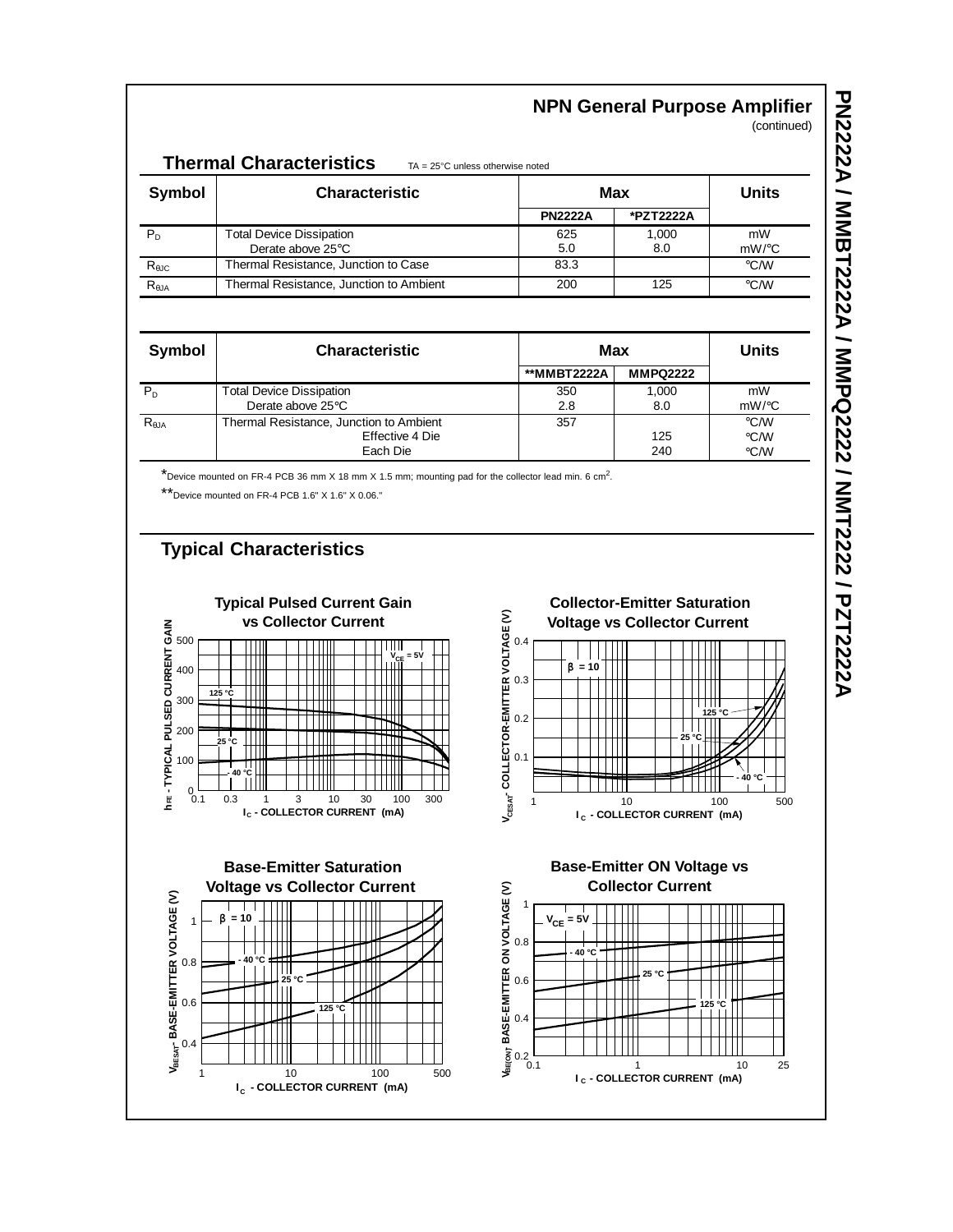# **NPN General Purpose Amplifier**

(continued)

| <b>Thermal Characteristics</b><br>$TA = 25^{\circ}C$ unless otherwise noted |                                                      |                |              |                        |
|-----------------------------------------------------------------------------|------------------------------------------------------|----------------|--------------|------------------------|
| Symbol                                                                      | <b>Characteristic</b>                                | Max            |              | <b>Units</b>           |
|                                                                             |                                                      | <b>PN2222A</b> | *PZT2222A    |                        |
| $P_D$                                                                       | <b>Total Device Dissipation</b><br>Derate above 25°C | 625<br>5.0     | 1.000<br>8.0 | mW<br>$mW$ / $\circ$ C |
| $R_{\theta$ JC                                                              | Thermal Resistance, Junction to Case                 | 83.3           |              | $\circ$ C/W            |
| $R_{\theta$ JA                                                              | Thermal Resistance, Junction to Ambient              | 200            | 125          | $\rm ^{\circ}$ C/W     |

| Symbol          | <b>Characteristic</b>                   | Max         |                 | <b>Units</b>       |
|-----------------|-----------------------------------------|-------------|-----------------|--------------------|
|                 |                                         | **MMBT2222A | <b>MMPQ2222</b> |                    |
| $P_{D}$         | <b>Total Device Dissipation</b>         | 350         | 1,000           | mW                 |
|                 | Derate above 25°C                       | 2.8         | 8.0             | $mW$ / $\degree$ C |
| $R_{\theta JA}$ | Thermal Resistance, Junction to Ambient | 357         |                 | $\degree$ C/W      |
|                 | Effective 4 Die                         |             | 125             | $\rm ^{\circ}$ C/W |
|                 | Each Die                                |             | 240             | °C/W               |

\*Device mounted on FR-4 PCB 36 mm X 18 mm X 1.5 mm; mounting pad for the collector lead min. 6 cm<sup>2</sup>.

\*\*Device mounted on FR-4 PCB 1.6" X 1.6" X 0.06."

## **Typical Characteristics**

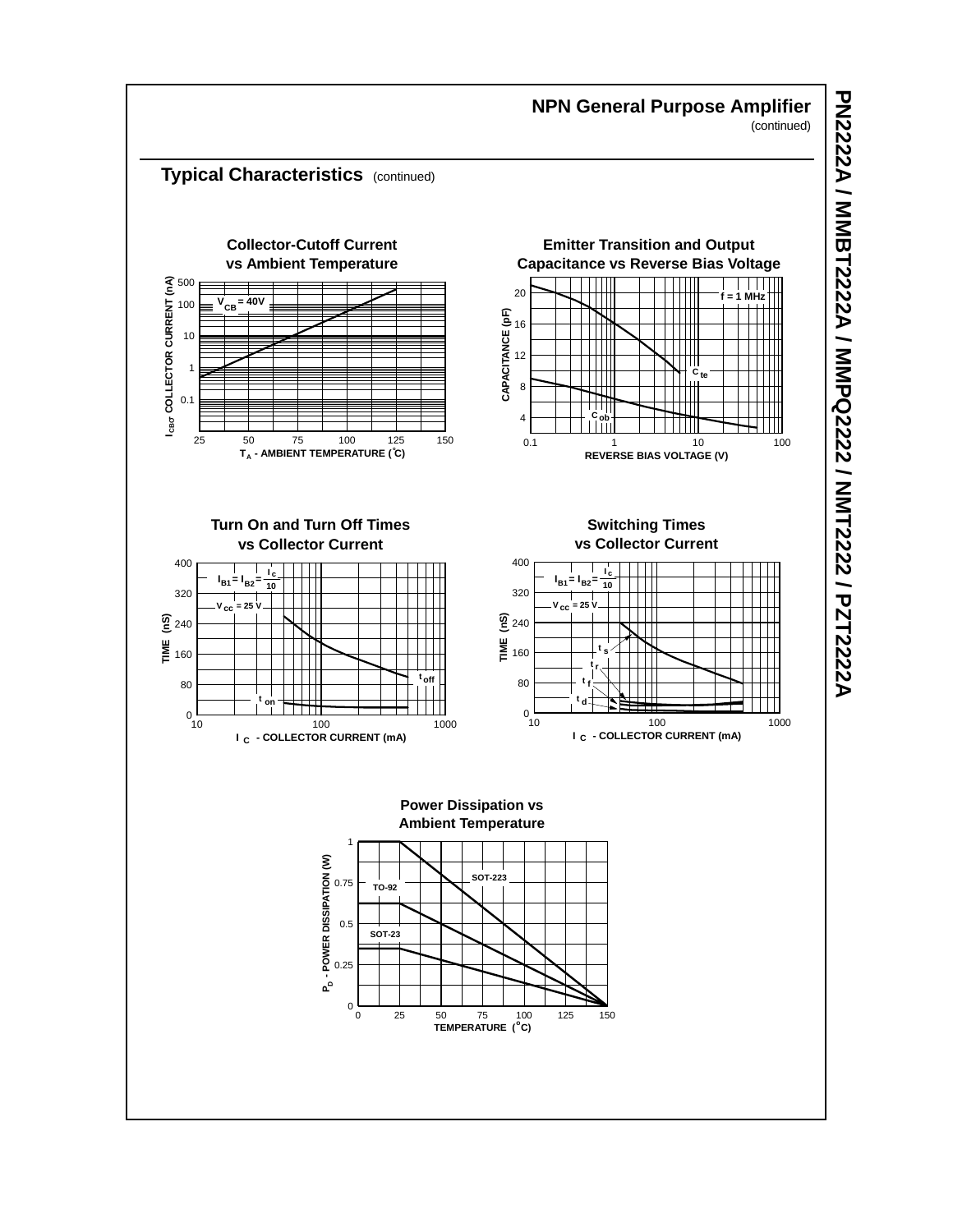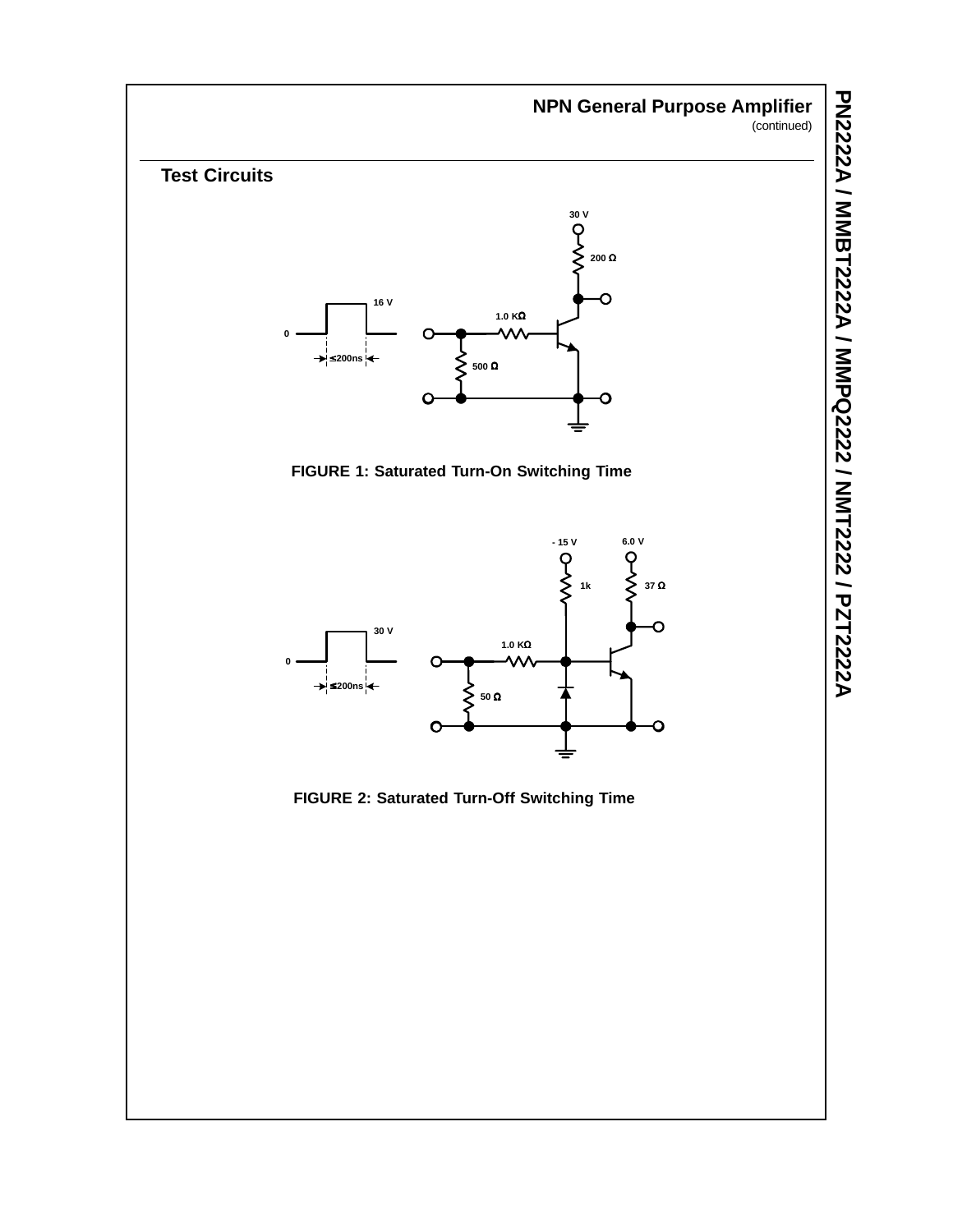